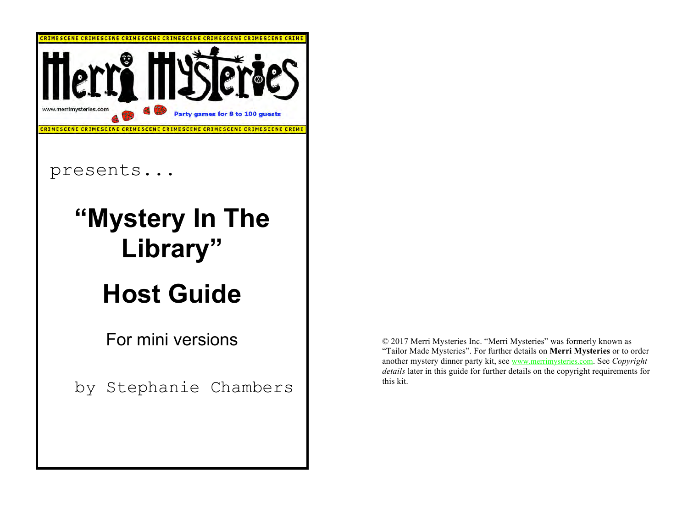

© 2017 Merri Mysteries Inc. "Merri Mysteries" was formerly known as "Tailor Made Mysteries". For further details on **Merri Mysteries** or to order another mystery dinner party kit, see www.merrimysteries.com. See *Copyright details* later in this guide for further details on the copyright requirements for this kit.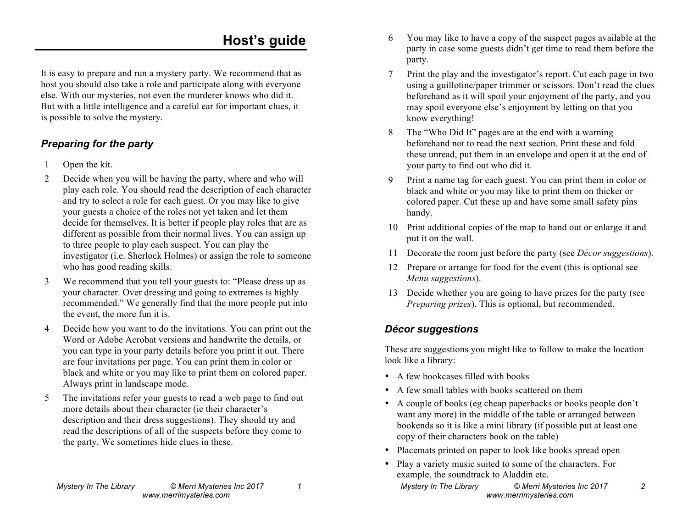## **Host's guide**

It is easy to prepare and run a mystery party. We recommend that as host you should also take a role and participate along with everyone else. With our mysteries, not even the murderer knows who did it. But with a little intelligence and a careful ear for important clues, it is possible to solve the mystery.

### *Preparing for the party*

- 1 Open the kit.
- 2 Decide when you will be having the party, where and who will play each role. You should read the description of each character and try to select a role for each guest. Or you may like to give your guests a choice of the roles not yet taken and let them decide for themselves. It is better if people play roles that are as different as possible from their normal lives. You can assign up to three people to play each suspect. You can play the investigator (i.e. Sherlock Holmes) or assign the role to someone who has good reading skills.
- 3 We recommend that you tell your guests to: "Please dress up as your character. Over dressing and going to extremes is highly recommended." We generally find that the more people put into the event, the more fun it is.
- 4 Decide how you want to do the invitations. You can print out the Word or Adobe Acrobat versions and handwrite the details, or you can type in your party details before you print it out. There are four invitations per page. You can print them in color or black and white or you may like to print them on colored paper. Always print in landscape mode.
- 5 The invitations refer your guests to read a web page to find out more details about their character (ie their character's description and their dress suggestions). They should try and read the descriptions of all of the suspects before they come to the party. We sometimes hide clues in these.
	- *Mystery In The Library © Merri Mysteries Inc 2017 1 www.merrimysteries.com*
- 6 You may like to have a copy of the suspect pages available at the party in case some guests didn't get time to read them before the party.
- 7 Print the play and the investigator's report. Cut each page in two using a guillotine/paper trimmer or scissors. Don't read the clues beforehand as it will spoil your enjoyment of the party, and you may spoil everyone else's enjoyment by letting on that you know everything!
- 8 The "Who Did It" pages are at the end with a warning beforehand not to read the next section. Print these and fold these unread, put them in an envelope and open it at the end of your party to find out who did it.
- 9 Print a name tag for each guest. You can print them in color or black and white or you may like to print them on thicker or colored paper. Cut these up and have some small safety pins handy.
- 10 Print additional copies of the map to hand out or enlarge it and put it on the wall.
- 11 Decorate the room just before the party (see *Décor suggestions*).
- 12 Prepare or arrange for food for the event (this is optional see *Menu suggestions*).
- 13 Decide whether you are going to have prizes for the party (see *Preparing prizes*). This is optional, but recommended.

### *Décor suggestions*

These are suggestions you might like to follow to make the location look like a library:

- A few bookcases filled with books
- A few small tables with books scattered on them
- A couple of books (eg cheap paperbacks or books people don't want any more) in the middle of the table or arranged between bookends so it is like a mini library (if possible put at least one copy of their characters book on the table)
- Placemats printed on paper to look like books spread open
- Play a variety music suited to some of the characters. For example, the soundtrack to Aladdin etc.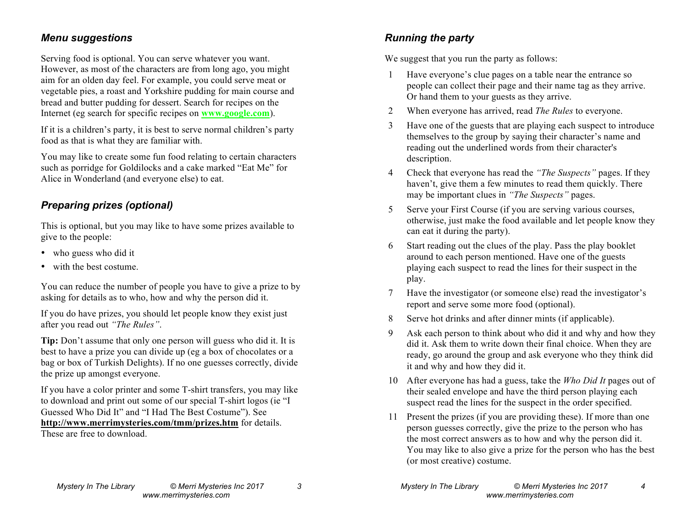#### *Menu suggestions*

Serving food is optional. You can serve whatever you want. However, as most of the characters are from long ago, you might aim for an olden day feel. For example, you could serve meat or vegetable pies, a roast and Yorkshire pudding for main course and bread and butter pudding for dessert. Search for recipes on the Internet (eg search for specific recipes on **www.google.com**).

If it is a children's party, it is best to serve normal children's party food as that is what they are familiar with.

You may like to create some fun food relating to certain characters such as porridge for Goldilocks and a cake marked "Eat Me" for Alice in Wonderland (and everyone else) to eat.

#### *Preparing prizes (optional)*

This is optional, but you may like to have some prizes available to give to the people:

- who guess who did it
- with the best costume.

You can reduce the number of people you have to give a prize to by asking for details as to who, how and why the person did it.

If you do have prizes, you should let people know they exist just after you read out *"The Rules"*.

**Tip:** Don't assume that only one person will guess who did it. It is best to have a prize you can divide up (eg a box of chocolates or a bag or box of Turkish Delights). If no one guesses correctly, divide the prize up amongst everyone.

If you have a color printer and some T-shirt transfers, you may like to download and print out some of our special T-shirt logos (ie "I Guessed Who Did It" and "I Had The Best Costume"). See **http://www.merrimysteries.com/tmm/prizes.htm** for details. These are free to download.

We suggest that you run the party as follows:

- 1 Have everyone's clue pages on a table near the entrance so people can collect their page and their name tag as they arrive. Or hand them to your guests as they arrive.
- 2 When everyone has arrived, read *The Rules* to everyone.
- 3 Have one of the guests that are playing each suspect to introduce themselves to the group by saying their character's name and reading out the underlined words from their character's description.
- 4 Check that everyone has read the *"The Suspects"* pages. If they haven't, give them a few minutes to read them quickly. There may be important clues in *"The Suspects"* pages.
- 5 Serve your First Course (if you are serving various courses, otherwise, just make the food available and let people know they can eat it during the party).
- 6 Start reading out the clues of the play. Pass the play booklet around to each person mentioned. Have one of the guests playing each suspect to read the lines for their suspect in the play.
- 7 Have the investigator (or someone else) read the investigator's report and serve some more food (optional).
- 8 Serve hot drinks and after dinner mints (if applicable).
- 9 Ask each person to think about who did it and why and how they did it. Ask them to write down their final choice. When they are ready, go around the group and ask everyone who they think did it and why and how they did it.
- 10 After everyone has had a guess, take the *Who Did It* pages out of their sealed envelope and have the third person playing each suspect read the lines for the suspect in the order specified.
- 11 Present the prizes (if you are providing these). If more than one person guesses correctly, give the prize to the person who has the most correct answers as to how and why the person did it. You may like to also give a prize for the person who has the best (or most creative) costume.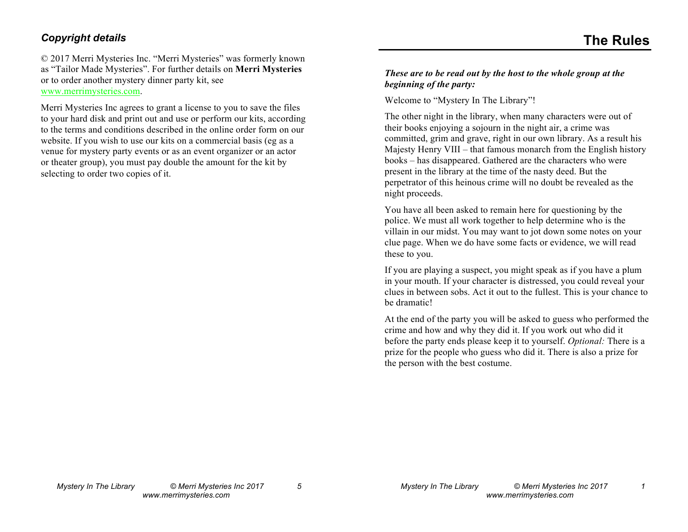#### *Copyright details*

© 2017 Merri Mysteries Inc. "Merri Mysteries" was formerly known as "Tailor Made Mysteries". For further details on **Merri Mysteries** or to order another mystery dinner party kit, see www.merrimysteries.com.

Merri Mysteries Inc agrees to grant a license to you to save the files to your hard disk and print out and use or perform our kits, according to the terms and conditions described in the online order form on our website. If you wish to use our kits on a commercial basis (eg as a venue for mystery party events or as an event organizer or an actor or theater group), you must pay double the amount for the kit by selecting to order two copies of it.

#### *These are to be read out by the host to the whole group at the beginning of the party:*

Welcome to "Mystery In The Library"!

The other night in the library, when many characters were out of their books enjoying a sojourn in the night air, a crime was committed, grim and grave, right in our own library. As a result his Majesty Henry VIII – that famous monarch from the English history books – has disappeared. Gathered are the characters who were present in the library at the time of the nasty deed. But the perpetrator of this heinous crime will no doubt be revealed as the night proceeds.

You have all been asked to remain here for questioning by the police. We must all work together to help determine who is the villain in our midst. You may want to jot down some notes on your clue page. When we do have some facts or evidence, we will read these to you.

If you are playing a suspect, you might speak as if you have a plum in your mouth. If your character is distressed, you could reveal your clues in between sobs. Act it out to the fullest. This is your chance to be dramatic!

At the end of the party you will be asked to guess who performed the crime and how and why they did it. If you work out who did it before the party ends please keep it to yourself. *Optional:* There is a prize for the people who guess who did it. There is also a prize for the person with the best costume.